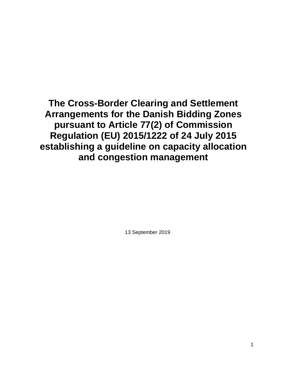**The Cross-Border Clearing and Settlement Arrangements for the Danish Bidding Zones pursuant to Article 77(2) of Commission Regulation (EU) 2015/1222 of 24 July 2015 establishing a guideline on capacity allocation and congestion management**

13 September 2019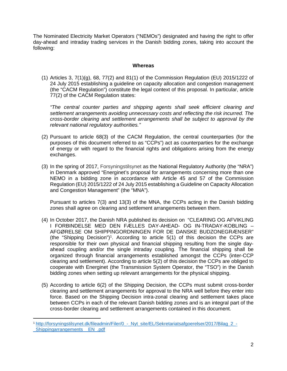The Nominated Electricity Market Operators ("NEMOs") designated and having the right to offer day-ahead and intraday trading services in the Danish bidding zones, taking into account the following:

### **Whereas**

(1) Articles 3, 7(1)(g), 68, 77(2) and 81(1) of the Commission Regulation (EU) 2015/1222 of 24 July 2015 establishing a guideline on capacity allocation and congestion management (the "CACM Regulation") constitute the legal context of this proposal. In particular, article 77(2) of the CACM Regulation states:

"The central counter parties and shipping agents shall seek efficient clearing and settlement arrangements avoiding unnecessary costs and reflecting the risk incurred. The cross-border clearing and settlement arrangements shall be subject to approval by the relevant national regulatory authorities."

- (2) Pursuant to article 68(3) of the CACM Regulation, the central counterparties (for the purposes of this document referred to as "CCPs") act as counterparties for the exchange of energy or with regard to the financial rights and obligations arising from the energy exchanges.
- (3) In the spring of 2017, Forsyningstilsynet as the National Regulatory Authority (the "NRA") in Denmark approved "Energinet's proposal for arrangements concerning more than one NEMO in a bidding zone in accordance with Article 45 and 57 of the Commission Regulation (EU) 2015/1222 of 24 July 2015 establishing a Guideline on Capacity Allocation and Congestion Management" (the "MNA").

Pursuant to articles 7(3) and 13(3) of the MNA, the CCPs acting in the Danish bidding zones shall agree on clearing and settlement arrangements between them.

- (4) In October 2017, the Danish NRA published its decision on "CLEARING OG AFVIKLING I FORBINDELSE MED DEN FÆLLES DAY-AHEAD- OG IN-TRADAY-KOBLING – AFGØRELSE OM SHIPPINGORDNINGEN FOR DE DANSKE BUDZONEGRÆNSER" (the "Shipping Decision")<sup>1</sup>. According to article  $5(1)$  of this decision the CCPs are responsible for their own physical and financial shipping resulting from the single dayahead coupling and/or the single intraday coupling. The financial shipping shall be organized through financial arrangements established amongst the CCPs (inter-CCP clearing and settlement). According to article 5(2) of this decision the CCPs are obliged to cooperate with Energinet (the Transmission System Operator, the "TSO") in the Danish bidding zones when setting up relevant arrangements for the physical shipping.
- (5) According to article 6(2) of the Shipping Decision, the CCPs must submit cross-border clearing and settlement arrangements for approval to the NRA well before they enter into force. Based on the Shipping Decision intra-zonal clearing and settlement takes place between CCPs in each of the relevant Danish bidding zones and is an integral part of the cross-border clearing and settlement arrangements contained in this document.

l

<sup>1</sup> http://forsyningstilsynet.dk/fileadmin/Filer/0\_-\_Nyt\_site/EL/Sekretariatsafgoerelser/2017/Bilag\_2\_- \_Shippingarrangements\_\_EN\_.pdf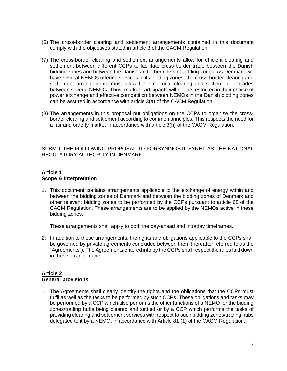- (6) The cross-border clearing and settlement arrangements contained in this document comply with the objectives stated in article 3 of the CACM Regulation.
- (7) The cross-border clearing and settlement arrangements allow for efficient clearing and settlement between different CCPs to facilitate cross-border trade between the Danish bidding zones and between the Danish and other relevant bidding zones. As Denmark will have several NEMOs offering services in its bidding zones, the cross-border clearing and settlement arrangements must allow for intra-zonal clearing and settlement of trades between several NEMOs. Thus, market participants will not be restricted in their choice of power exchange and effective competition between NEMOs in the Danish bidding zones can be assured in accordance with article 3(a) of the CACM Regulation.
- (8) The arrangements in this proposal put obligations on the CCPs to organise the crossborder clearing and settlement according to common principles. This respects the need for a fair and orderly market in accordance with article 3(h) of the CACM Regulation.

SUBMIT THE FOLLOWING PROPOSAL TO FORSYNINGSTILSYNET AS THE NATIONAL REGULATORY AUTHORITY IN DENMARK:

# **Article 1 Scope & Interpretation**

1. This document contains arrangements applicable to the exchange of energy within and between the bidding zones of Denmark and between the bidding zones of Denmark and other relevant bidding zones to be performed by the CCPs pursuant to article 68 of the CACM Regulation. These arrangements are to be applied by the NEMOs active in these bidding zones.

These arrangements shall apply to both the day-ahead and intraday timeframes.

2. In addition to these arrangements, the rights and obligations applicable to the CCPs shall be governed by private agreements concluded between them (hereafter referred to as the "Agreements"). The Agreements entered into by the CCPs shall respect the rules laid down in these arrangements.

## **Article 2 General provisions**

1. The Agreements shall clearly identify the rights and the obligations that the CCPs must fulfil as well as the tasks to be performed by such CCPs. These obligations and tasks may be performed by a CCP which also performs the other functions of a NEMO for the bidding zones/trading hubs being cleared and settled or by a CCP which performs the tasks of providing clearing and settlement services with respect to such bidding zones/trading hubs delegated to it by a NEMO, in accordance with Article 81 (1) of the CACM Regulation.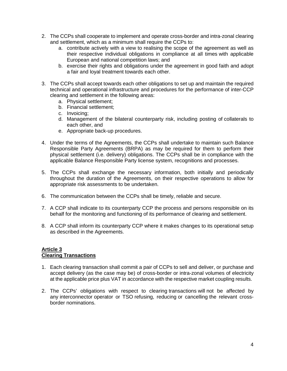- 2. The CCPs shall cooperate to implement and operate cross-border and intra-zonal clearing and settlement, which as a minimum shall require the CCPs to:
	- a. contribute actively with a view to realising the scope of the agreement as well as their respective individual obligations in compliance at all times with applicable European and national competition laws; and
	- b. exercise their rights and obligations under the agreement in good faith and adopt a fair and loyal treatment towards each other.
- 3. The CCPs shall accept towards each other obligations to set up and maintain the required technical and operational infrastructure and procedures for the performance of inter-CCP clearing and settlement in the following areas:
	- a. Physical settlement;
	- b. Financial settlement;
	- c. Invoicing;
	- d. Management of the bilateral counterparty risk, including posting of collaterals to each other, and
	- e. Appropriate back-up procedures.
- 4. Under the terms of the Agreements, the CCPs shall undertake to maintain such Balance Responsible Party Agreements (BRPA) as may be required for them to perform their physical settlement (i.e. delivery) obligations. The CCPs shall be in compliance with the applicable Balance Responsible Party license system, recognitions and processes.
- 5. The CCPs shall exchange the necessary information, both initially and periodically throughout the duration of the Agreements, on their respective operations to allow for appropriate risk assessments to be undertaken.
- 6. The communication between the CCPs shall be timely, reliable and secure.
- 7. A CCP shall indicate to its counterparty CCP the process and persons responsible on its behalf for the monitoring and functioning of its performance of clearing and settlement.
- 8. A CCP shall inform its counterparty CCP where it makes changes to its operational setup as described in the Agreements.

### **Article 3 Clearing Transactions**

- 1. Each clearing transaction shall commit a pair of CCPs to sell and deliver, or purchase and accept delivery (as the case may be) of cross-border or intra-zonal volumes of electricity at the applicable price plus VAT in accordance with the respective market coupling results.
- 2. The CCPs' obligations with respect to clearing transactions will not be affected by any interconnector operator or TSO refusing, reducing or cancelling the relevant crossborder nominations.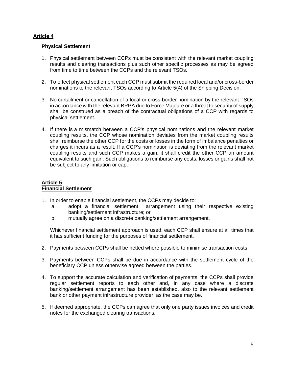# **Article 4**

### **Physical Settlement**

- 1. Physical settlement between CCPs must be consistent with the relevant market coupling results and clearing transactions plus such other specific processes as may be agreed from time to time between the CCPs and the relevant TSOs.
- 2. To effect physical settlement each CCP must submit the required local and/or cross-border nominations to the relevant TSOs according to Article 5(4) of the Shipping Decision.
- 3. No curtailment or cancellation of a local or cross-border nomination by the relevant TSOs in accordance with the relevant BRPA due to Force Majeure or a threat to security of supply shall be construed as a breach of the contractual obligations of a CCP with regards to physical settlement.
- 4. If there is a mismatch between a CCP's physical nominations and the relevant market coupling results, the CCP whose nomination deviates from the market coupling results shall reimburse the other CCP for the costs or losses in the form of imbalance penalties or charges it incurs as a result. If a CCP's nomination is deviating from the relevant market coupling results and such CCP makes a gain, it shall credit the other CCP an amount equivalent to such gain. Such obligations to reimburse any costs, losses or gains shall not be subject to any limitation or cap.

### **Article 5 Financial Settlement**

- 1. In order to enable financial settlement, the CCPs may decide to:
	- a. adopt a financial settlement arrangement using their respective existing banking/settlement infrastructure; or
	- b. mutually agree on a discrete banking/settlement arrangement.

Whichever financial settlement approach is used, each CCP shall ensure at all times that it has sufficient funding for the purposes of financial settlement.

- 2. Payments between CCPs shall be netted where possible to minimise transaction costs.
- 3. Payments between CCPs shall be due in accordance with the settlement cycle of the beneficiary CCP unless otherwise agreed between the parties.
- 4. To support the accurate calculation and verification of payments, the CCPs shall provide regular settlement reports to each other and, in any case where a discrete banking/settlement arrangement has been established, also to the relevant settlement bank or other payment infrastructure provider, as the case may be.
- 5. If deemed appropriate, the CCPs can agree that only one party issues invoices and credit notes for the exchanged clearing transactions.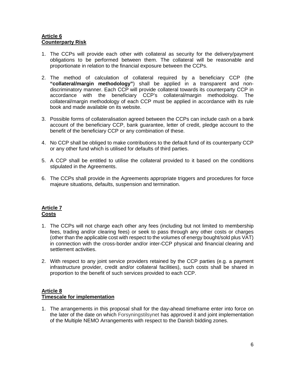### **Article 6 Counterparty Risk**

- 1. The CCPs will provide each other with collateral as security for the delivery/payment obligations to be performed between them. The collateral will be reasonable and proportionate in relation to the financial exposure between the CCPs.
- 2. The method of calculation of collateral required by a beneficiary CCP (the **"collateral/margin methodology"**) shall be applied in a transparent and nondiscriminatory manner. Each CCP will provide collateral towards its counterparty CCP in accordance with the beneficiary CCP's collateral/margin methodology. The collateral/margin methodology of each CCP must be applied in accordance with its rule book and made available on its website.
- 3. Possible forms of collateralisation agreed between the CCPs can include cash on a bank account of the beneficiary CCP, bank guarantee, letter of credit, pledge account to the benefit of the beneficiary CCP or any combination of these.
- 4. No CCP shall be obliged to make contributions to the default fund of its counterparty CCP or any other fund which is utilised for defaults of third parties.
- 5. A CCP shall be entitled to utilise the collateral provided to it based on the conditions stipulated in the Agreements.
- 6. The CCPs shall provide in the Agreements appropriate triggers and procedures for force majeure situations, defaults, suspension and termination.

### **Article 7 Costs**

- 1. The CCPs will not charge each other any fees (including but not limited to membership fees, trading and/or clearing fees) or seek to pass through any other costs or charges (other than the applicable cost with respect to the volumes of energy bought/sold plus VAT) in connection with the cross-border and/or inter-CCP physical and financial clearing and settlement activities.
- 2. With respect to any joint service providers retained by the CCP parties (e.g. a payment infrastructure provider, credit and/or collateral facilities), such costs shall be shared in proportion to the benefit of such services provided to each CCP.

### **Article 8 Timescale for implementation**

1. The arrangements in this proposal shall for the day-ahead timeframe enter into force on the later of the date on which Forsyningstilsynet has approved it and joint implementation of the Multiple NEMO Arrangements with respect to the Danish bidding zones.